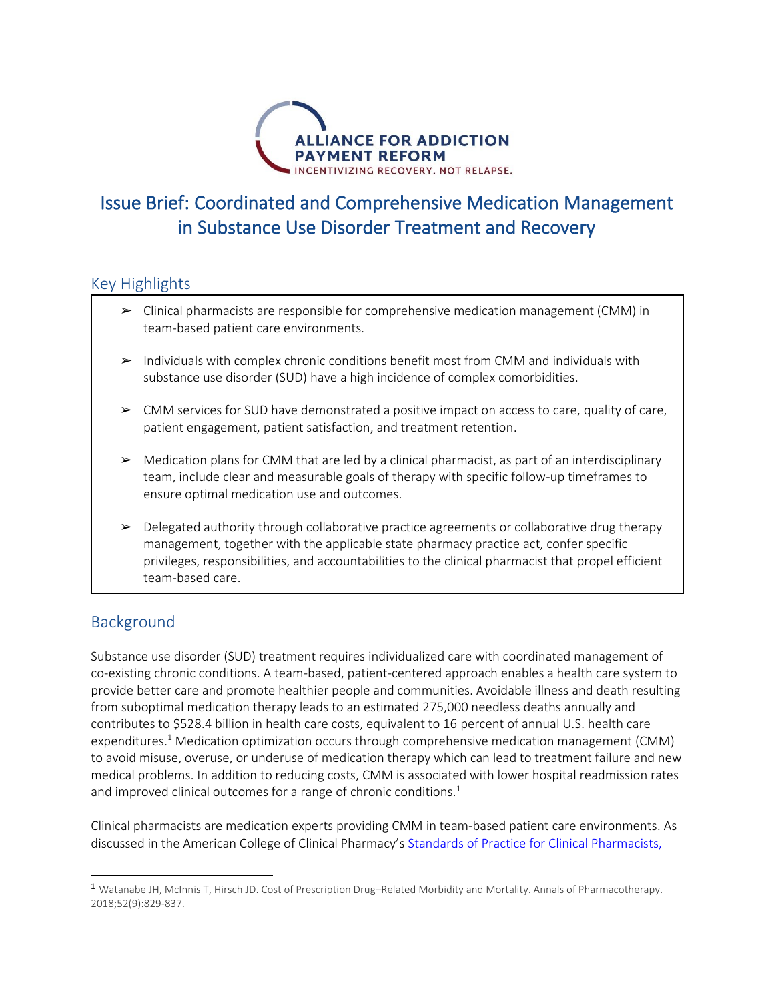

# Issue Brief: Coordinated and Comprehensive Medication Management in Substance Use Disorder Treatment and Recovery

### Key Highlights

- $\triangleright$  Clinical pharmacists are responsible for comprehensive medication management (CMM) in team-based patient care environments.
- $\triangleright$  Individuals with complex chronic conditions benefit most from CMM and individuals with substance use disorder (SUD) have a high incidence of complex comorbidities.
- $\triangleright$  CMM services for SUD have demonstrated a positive impact on access to care, quality of care, patient engagement, patient satisfaction, and treatment retention.
- $\triangleright$  Medication plans for CMM that are led by a clinical pharmacist, as part of an interdisciplinary team, include clear and measurable goals of therapy with specific follow-up timeframes to ensure optimal medication use and outcomes.
- ➢ Delegated authority through collaborative practice agreements or collaborative drug therapy management, together with the applicable state pharmacy practice act, confer specific privileges, responsibilities, and accountabilities to the clinical pharmacist that propel efficient team-based care.

### Background

Substance use disorder (SUD) treatment requires individualized care with coordinated management of co-existing chronic conditions. A team-based, patient-centered approach enables a health care system to provide better care and promote healthier people and communities. Avoidable illness and death resulting from suboptimal medication therapy leads to an estimated 275,000 needless deaths annually and contributes to \$528.4 billion in health care costs, equivalent to 16 percent of annual U.S. health care expenditures.<sup>1</sup> Medication optimization occurs through comprehensive medication management (CMM) to avoid misuse, overuse, or underuse of medication therapy which can lead to treatment failure and new medical problems. In addition to reducing costs, CMM is associated with lower hospital readmission rates and improved clinical outcomes for a range of chronic conditions.<sup>1</sup>

Clinical pharmacists are medication experts providing CMM in team-based patient care environments. As discussed in the American College of Clinical Pharmacy's [Standards of Practice for Clinical Pharmacists,](https://accpjournals.onlinelibrary.wiley.com/doi/epdf/10.1002/phar.1438)

<sup>1</sup> Watanabe JH, McInnis T, Hirsch JD. Cost of Prescription Drug–Related Morbidity and Mortality. Annals of Pharmacotherapy. 2018;52(9):829-837.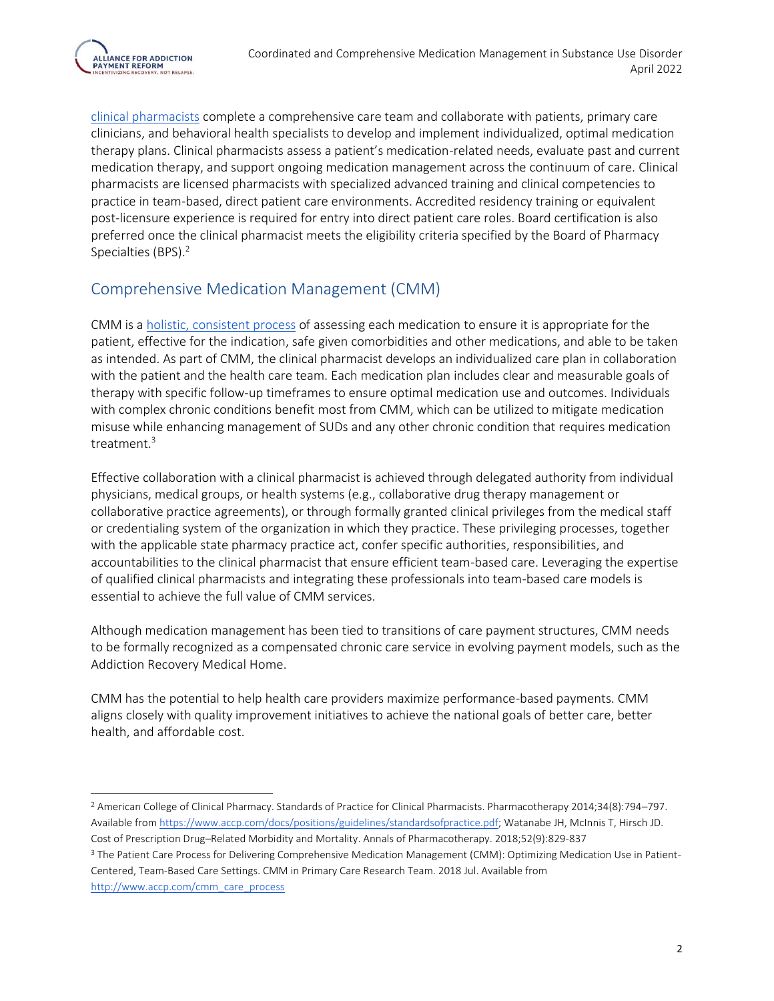

clinical pharmacists complete a comprehensive care team and collaborate with patients, primary care clinicians, and behavioral health specialists to develop and implement individualized, optimal medication therapy plans. Clinical pharmacists assess a patient's medication-related needs, evaluate past and current medication therapy, and support ongoing medication management across the continuum of care. Clinical pharmacists are licensed pharmacists with specialized advanced training and clinical competencies to practice in team-based, direct patient care environments. Accredited residency training or equivalent post-licensure experience is required for entry into direct patient care roles. Board certification is also preferred once the clinical pharmacist meets the eligibility criteria specified by the Board of Pharmacy Specialties (BPS).<sup>2</sup>

### Comprehensive Medication Management (CMM)

CMM is a [holistic,](http://www.accp.com/cmm_care_process) [consistent](http://www.accp.com/cmm_care_process) [process](http://www.accp.com/cmm_care_process) of assessing each medication to ensure it is appropriate for the patient, effective for the indication, safe given comorbidities and other medications, and able to be taken as intended. As part of CMM, the clinical pharmacist develops an individualized care plan in collaboration with the patient and the health care team. Each medication plan includes clear and measurable goals of therapy with specific follow-up timeframes to ensure optimal medication use and outcomes. Individuals with complex chronic conditions benefit most from CMM, which can be utilized to mitigate medication misuse while enhancing management of SUDs and any other chronic condition that requires medication treatment.<sup>3</sup>

Effective collaboration with a clinical pharmacist is achieved through delegated authority from individual physicians, medical groups, or health systems (e.g., collaborative drug therapy management or collaborative practice agreements), or through formally granted clinical privileges from the medical staff or credentialing system of the organization in which they practice. These privileging processes, together with the applicable state pharmacy practice act, confer specific authorities, responsibilities, and accountabilities to the clinical pharmacist that ensure efficient team-based care. Leveraging the expertise of qualified clinical pharmacists and integrating these professionals into team-based care models is essential to achieve the full value of CMM services.

Although medication management has been tied to transitions of care payment structures, CMM needs to be formally recognized as a compensated chronic care service in evolving payment models, such as the Addiction Recovery Medical Home.

CMM has the potential to help health care providers maximize performance-based payments. CMM aligns closely with quality improvement initiatives to achieve the national goals of better care, better health, and affordable cost.

<sup>2</sup> American College of Clinical Pharmacy. Standards of Practice for Clinical Pharmacists. Pharmacotherapy 2014;34(8):794–797. Available fro[m https://www.accp.com/docs/positions/guidelines/standardsofpractice.pdf;](https://www.accp.com/docs/positions/guidelines/standardsofpractice.pdf) Watanabe JH, McInnis T, Hirsch JD. Cost of Prescription Drug–Related Morbidity and Mortality. Annals of Pharmacotherapy. 2018;52(9):829-837

<sup>&</sup>lt;sup>3</sup> The Patient Care Process for Delivering Comprehensive Medication Management (CMM): Optimizing Medication Use in Patient-Centered, Team-Based Care Settings. CMM in Primary Care Research Team. 2018 Jul. Available from [http://www.accp.com/cmm\\_care\\_process](http://www.accp.com/cmm_care_process)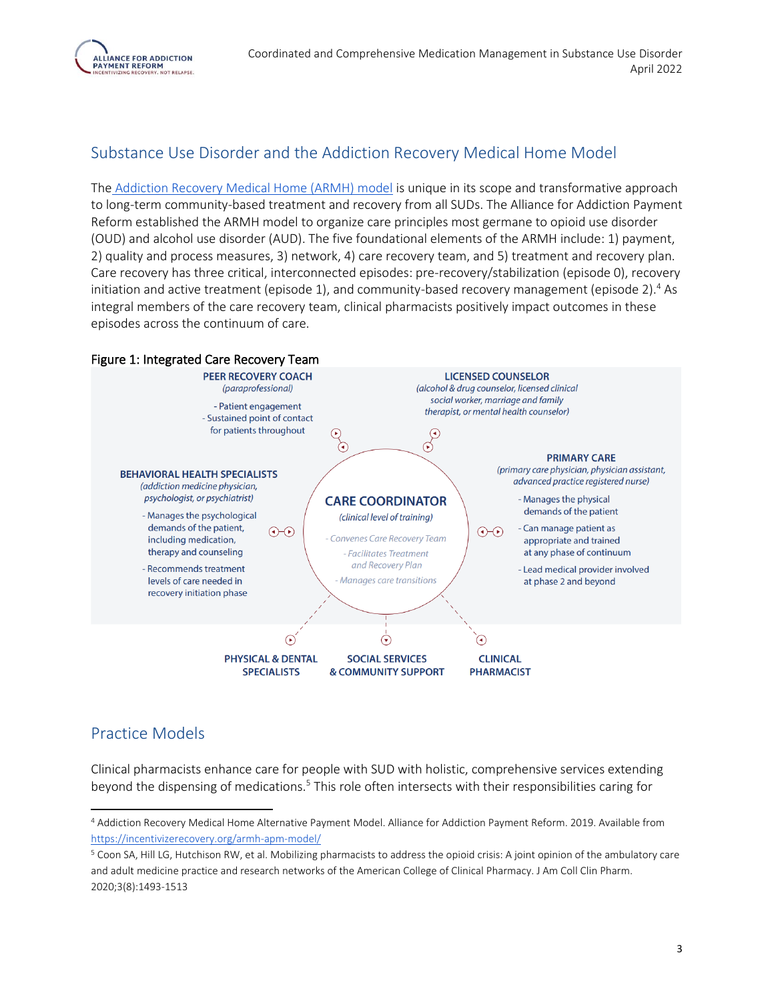

### Substance Use Disorder and the Addiction Recovery Medical Home Model

The [Addiction Recovery Medical Home \(ARMH\) model](https://incentivizerecovery.org/armh-apm-model/) is unique in its scope and transformative approach to long-term community-based treatment and recovery from all SUDs. The Alliance for Addiction Payment Reform established the ARMH model to organize care principles most germane to opioid use disorder (OUD) and alcohol use disorder (AUD). The five foundational elements of the ARMH include: 1) payment, 2) quality and process measures, 3) network, 4) care recovery team, and 5) treatment and recovery plan. Care recovery has three critical, interconnected episodes: pre-recovery/stabilization (episode 0), recovery initiation and active treatment (episode 1), and community-based recovery management (episode 2).<sup>4</sup> As integral members of the care recovery team, clinical pharmacists positively impact outcomes in these episodes across the continuum of care.



### Practice Models

Clinical pharmacists enhance care for people with SUD with holistic, comprehensive services extending beyond the dispensing of medications.<sup>5</sup> This role often intersects with their responsibilities caring for

<sup>4</sup> Addiction Recovery Medical Home Alternative Payment Model. Alliance for Addiction Payment Reform. 2019. Available from <https://incentivizerecovery.org/armh-apm-model/>

<sup>5</sup> Coon SA, Hill LG, Hutchison RW, et al. Mobilizing pharmacists to address the opioid crisis: A joint opinion of the ambulatory care and adult medicine practice and research networks of the American College of Clinical Pharmacy. J Am Coll Clin Pharm. 2020;3(8):1493-1513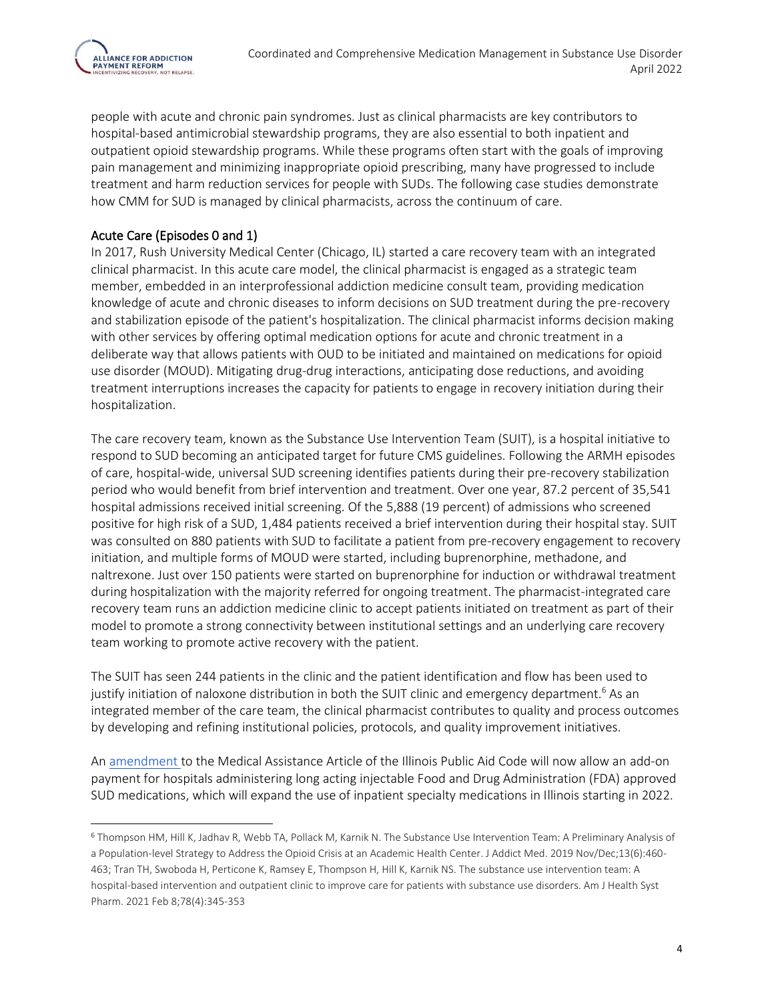

people with acute and chronic pain syndromes. Just as clinical pharmacists are key contributors to hospital-based antimicrobial stewardship programs, they are also essential to both inpatient and outpatient opioid stewardship programs. While these programs often start with the goals of improving pain management and minimizing inappropriate opioid prescribing, many have progressed to include treatment and harm reduction services for people with SUDs. The following case studies demonstrate how CMM for SUD is managed by clinical pharmacists, across the continuum of care.

#### Acute Care (Episodes 0 and 1)

In 2017, Rush University Medical Center (Chicago, IL) started a care recovery team with an integrated clinical pharmacist. In this acute care model, the clinical pharmacist is engaged as a strategic team member, embedded in an interprofessional addiction medicine consult team, providing medication knowledge of acute and chronic diseases to inform decisions on SUD treatment during the pre-recovery and stabilization episode of the patient's hospitalization. The clinical pharmacist informs decision making with other services by offering optimal medication options for acute and chronic treatment in a deliberate way that allows patients with OUD to be initiated and maintained on medications for opioid use disorder (MOUD). Mitigating drug-drug interactions, anticipating dose reductions, and avoiding treatment interruptions increases the capacity for patients to engage in recovery initiation during their hospitalization.

The care recovery team, known as the Substance Use Intervention Team (SUIT), is a hospital initiative to respond to SUD becoming an anticipated target for future CMS guidelines. Following the ARMH episodes of care, hospital-wide, universal SUD screening identifies patients during their pre-recovery stabilization period who would benefit from brief intervention and treatment. Over one year, 87.2 percent of 35,541 hospital admissions received initial screening. Of the 5,888 (19 percent) of admissions who screened positive for high risk of a SUD, 1,484 patients received a brief intervention during their hospital stay. SUIT was consulted on 880 patients with SUD to facilitate a patient from pre-recovery engagement to recovery initiation, and multiple forms of MOUD were started, including buprenorphine, methadone, and naltrexone. Just over 150 patients were started on buprenorphine for induction or withdrawal treatment during hospitalization with the majority referred for ongoing treatment. The pharmacist-integrated care recovery team runs an addiction medicine clinic to accept patients initiated on treatment as part of their model to promote a strong connectivity between institutional settings and an underlying care recovery team working to promote active recovery with the patient.

The SUIT has seen 244 patients in the clinic and the patient identification and flow has been used to justify initiation of naloxone distribution in both the SUIT clinic and emergency department.<sup>6</sup> As an integrated member of the care team, the clinical pharmacist contributes to quality and process outcomes by developing and refining institutional policies, protocols, and quality improvement initiatives.

A[n amendment t](https://www.ilga.gov/legislation/BillStatus.asp?DocNum=2529&GAID=15&DocTypeID=SB&SessionID=108&GA=101)o the Medical Assistance Article of the Illinois Public Aid Code will now allow an add-on payment for hospitals administering long acting injectable Food and Drug Administration (FDA) approved SUD medications, which will expand the use of inpatient specialty medications in Illinois starting in 2022.

<sup>6</sup> Thompson HM, Hill K, Jadhav R, Webb TA, Pollack M, Karnik N. The Substance Use Intervention Team: A Preliminary Analysis of a Population-level Strategy to Address the Opioid Crisis at an Academic Health Center. J Addict Med. 2019 Nov/Dec;13(6):460- 463; Tran TH, Swoboda H, Perticone K, Ramsey E, Thompson H, Hill K, Karnik NS. The substance use intervention team: A hospital-based intervention and outpatient clinic to improve care for patients with substance use disorders. Am J Health Syst Pharm. 2021 Feb 8;78(4):345-353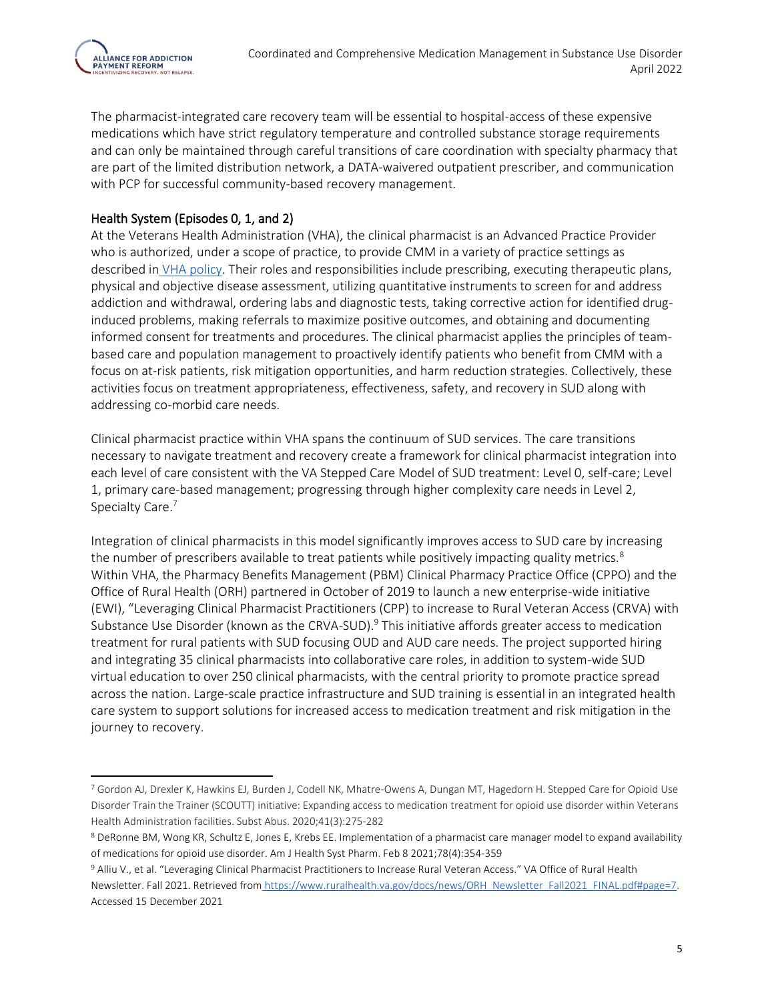

The pharmacist-integrated care recovery team will be essential to hospital-access of these expensive medications which have strict regulatory temperature and controlled substance storage requirements and can only be maintained through careful transitions of care coordination with specialty pharmacy that are part of the limited distribution network, a DATA-waivered outpatient prescriber, and communication with PCP for successful community-based recovery management.

#### Health System (Episodes 0, 1, and 2)

At the Veterans Health Administration (VHA), the clinical pharmacist is an Advanced Practice Provider who is authorized, under a scope of practice, to provide CMM in a variety of practice settings as described in [VHA policy.](https://www.va.gov/vhapublications/ViewPublication.asp?pub_ID=3120) Their roles and responsibilities include prescribing, executing therapeutic plans, physical and objective disease assessment, utilizing quantitative instruments to screen for and address addiction and withdrawal, ordering labs and diagnostic tests, taking corrective action for identified druginduced problems, making referrals to maximize positive outcomes, and obtaining and documenting informed consent for treatments and procedures. The clinical pharmacist applies the principles of teambased care and population management to proactively identify patients who benefit from CMM with a focus on at-risk patients, risk mitigation opportunities, and harm reduction strategies. Collectively, these activities focus on treatment appropriateness, effectiveness, safety, and recovery in SUD along with addressing co-morbid care needs.

Clinical pharmacist practice within VHA spans the continuum of SUD services. The care transitions necessary to navigate treatment and recovery create a framework for clinical pharmacist integration into each level of care consistent with the VA Stepped Care Model of SUD treatment: Level 0, self-care; Level 1, primary care-based management; progressing through higher complexity care needs in Level 2, Specialty Care.<sup>7</sup>

Integration of clinical pharmacists in this model significantly improves access to SUD care by increasing the number of prescribers available to treat patients while positively impacting quality metrics.<sup>8</sup> Within VHA, the Pharmacy Benefits Management (PBM) Clinical Pharmacy Practice Office (CPPO) and the Office of Rural Health (ORH) partnered in October of 2019 to launch a new enterprise-wide initiative (EWI), "Leveraging Clinical Pharmacist Practitioners (CPP) to increase to Rural Veteran Access (CRVA) with Substance Use Disorder (known as the CRVA-SUD).<sup>9</sup> This initiative affords greater access to medication treatment for rural patients with SUD focusing OUD and AUD care needs. The project supported hiring and integrating 35 clinical pharmacists into collaborative care roles, in addition to system-wide SUD virtual education to over 250 clinical pharmacists, with the central priority to promote practice spread across the nation. Large-scale practice infrastructure and SUD training is essential in an integrated health care system to support solutions for increased access to medication treatment and risk mitigation in the journey to recovery.

<sup>7</sup> Gordon AJ, Drexler K, Hawkins EJ, Burden J, Codell NK, Mhatre-Owens A, Dungan MT, Hagedorn H. Stepped Care for Opioid Use Disorder Train the Trainer (SCOUTT) initiative: Expanding access to medication treatment for opioid use disorder within Veterans Health Administration facilities. Subst Abus. 2020;41(3):275-282

<sup>8</sup> DeRonne BM, Wong KR, Schultz E, Jones E, Krebs EE. Implementation of a pharmacist care manager model to expand availability of medications for opioid use disorder. Am J Health Syst Pharm. Feb 8 2021;78(4):354-359

<sup>9</sup> Alliu V., et al. "Leveraging Clinical Pharmacist Practitioners to Increase Rural Veteran Access." VA Office of Rural Health Newsletter. Fall 2021. Retrieved from [https://www.ruralhealth.va.gov/docs/news/ORH\\_Newsletter\\_Fall2021\\_FINAL.pdf#page=7.](https://www.ruralhealth.va.gov/docs/news/ORH_Newsletter_Fall2021_FINAL.pdf#page=7)  Accessed 15 December 2021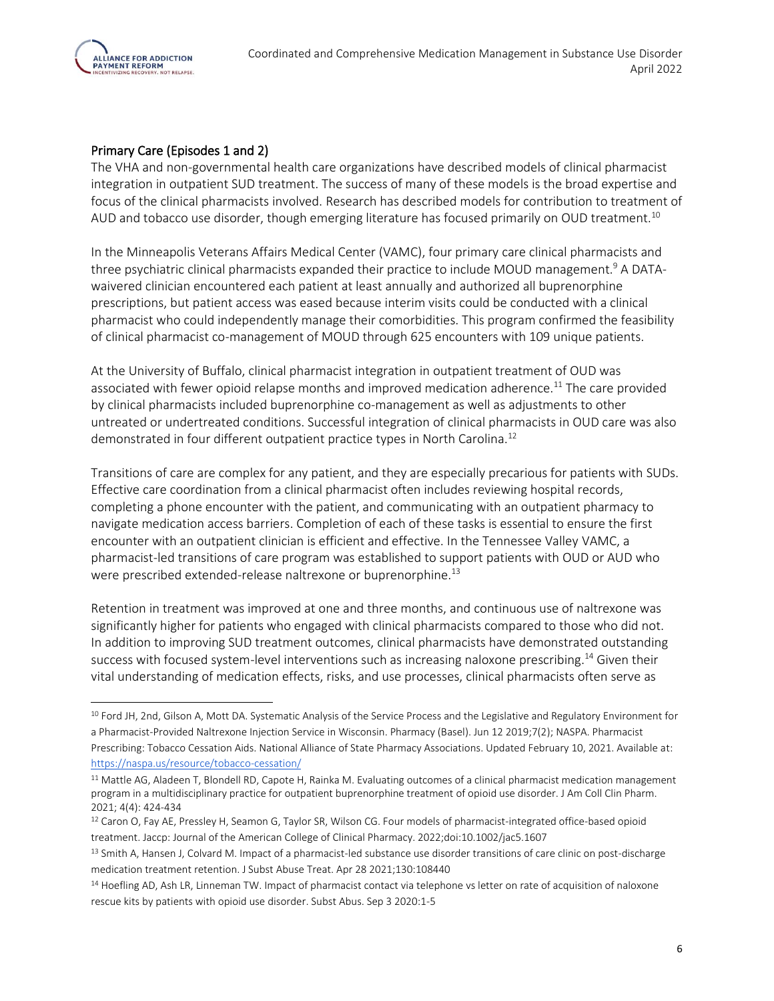

#### Primary Care (Episodes 1 and 2)

The VHA and non-governmental health care organizations have described models of clinical pharmacist integration in outpatient SUD treatment. The success of many of these models is the broad expertise and focus of the clinical pharmacists involved. Research has described models for contribution to treatment of AUD and tobacco use disorder, though emerging literature has focused primarily on OUD treatment.<sup>10</sup>

In the Minneapolis Veterans Affairs Medical Center (VAMC), four primary care clinical pharmacists and three psychiatric clinical pharmacists expanded their practice to include MOUD management.<sup>9</sup> A DATAwaivered clinician encountered each patient at least annually and authorized all buprenorphine prescriptions, but patient access was eased because interim visits could be conducted with a clinical pharmacist who could independently manage their comorbidities. This program confirmed the feasibility of clinical pharmacist co-management of MOUD through 625 encounters with 109 unique patients.

At the University of Buffalo, clinical pharmacist integration in outpatient treatment of OUD was associated with fewer opioid relapse months and improved medication adherence.<sup>11</sup> The care provided by clinical pharmacists included buprenorphine co-management as well as adjustments to other untreated or undertreated conditions. Successful integration of clinical pharmacists in OUD care was also demonstrated in four different outpatient practice types in North Carolina.<sup>12</sup>

Transitions of care are complex for any patient, and they are especially precarious for patients with SUDs. Effective care coordination from a clinical pharmacist often includes reviewing hospital records, completing a phone encounter with the patient, and communicating with an outpatient pharmacy to navigate medication access barriers. Completion of each of these tasks is essential to ensure the first encounter with an outpatient clinician is efficient and effective. In the Tennessee Valley VAMC, a pharmacist-led transitions of care program was established to support patients with OUD or AUD who were prescribed extended-release naltrexone or buprenorphine.<sup>13</sup>

Retention in treatment was improved at one and three months, and continuous use of naltrexone was significantly higher for patients who engaged with clinical pharmacists compared to those who did not. In addition to improving SUD treatment outcomes, clinical pharmacists have demonstrated outstanding success with focused system-level interventions such as increasing naloxone prescribing.<sup>14</sup> Given their vital understanding of medication effects, risks, and use processes, clinical pharmacists often serve as

<sup>&</sup>lt;sup>10</sup> Ford JH, 2nd, Gilson A, Mott DA. Systematic Analysis of the Service Process and the Legislative and Regulatory Environment for a Pharmacist-Provided Naltrexone Injection Service in Wisconsin. Pharmacy (Basel). Jun 12 2019;7(2); NASPA. Pharmacist Prescribing: Tobacco Cessation Aids. National Alliance of State Pharmacy Associations. Updated February 10, 2021. Available at: <https://naspa.us/resource/tobacco-cessation/>

<sup>&</sup>lt;sup>11</sup> Mattle AG, Aladeen T, Blondell RD, Capote H, Rainka M. Evaluating outcomes of a clinical pharmacist medication management program in a multidisciplinary practice for outpatient buprenorphine treatment of opioid use disorder. J Am Coll Clin Pharm. 2021; 4(4): 424-434

<sup>12</sup> Caron O, Fay AE, Pressley H, Seamon G, Taylor SR, Wilson CG. Four models of pharmacist-integrated office-based opioid treatment. Jaccp: Journal of the American College of Clinical Pharmacy. 2022;doi:10.1002/jac5.1607

<sup>13</sup> Smith A, Hansen J, Colvard M. Impact of a pharmacist-led substance use disorder transitions of care clinic on post-discharge medication treatment retention. J Subst Abuse Treat. Apr 28 2021;130:108440

<sup>14</sup> Hoefling AD, Ash LR, Linneman TW. Impact of pharmacist contact via telephone vs letter on rate of acquisition of naloxone rescue kits by patients with opioid use disorder. Subst Abus. Sep 3 2020:1-5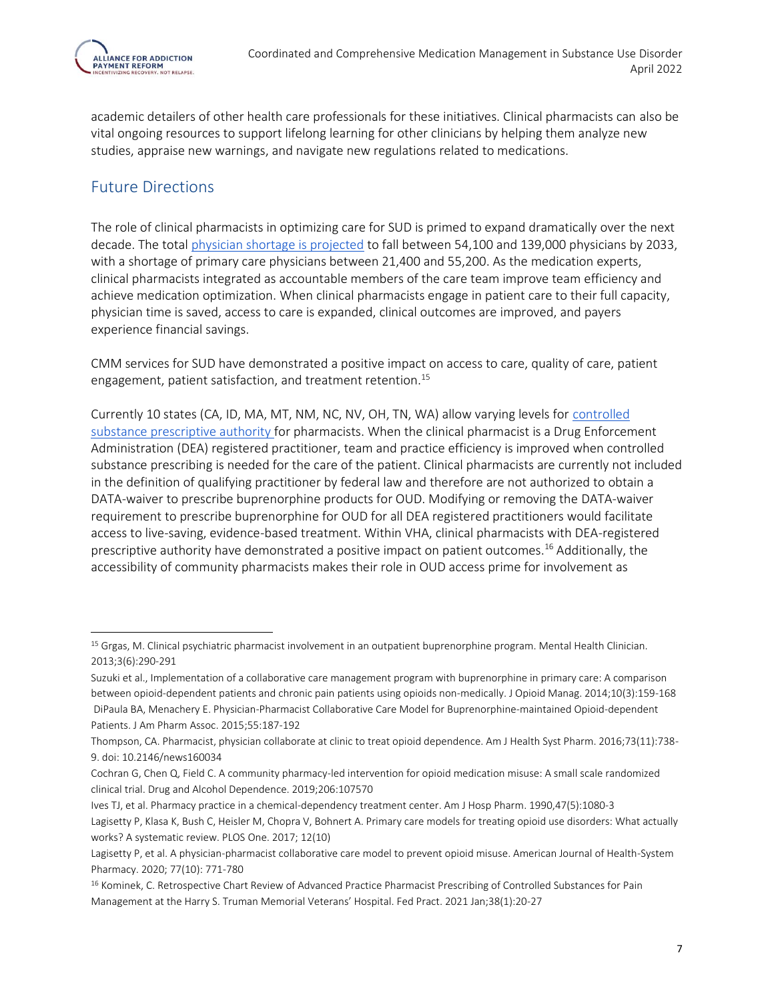

academic detailers of other health care professionals for these initiatives. Clinical pharmacists can also be vital ongoing resources to support lifelong learning for other clinicians by helping them analyze new studies, appraise new warnings, and navigate new regulations related to medications.

### Future Directions

The role of clinical pharmacists in optimizing care for SUD is primed to expand dramatically over the next decade. The total [physician shortage is projected](https://www.aamc.org/system/files/2020-06/stratcomm-aamc-physician-workforce-projections-june-2020.pdf) to fall between 54,100 and 139,000 physicians by 2033, with a shortage of primary care physicians between 21,400 and 55,200. As the medication experts, clinical pharmacists integrated as accountable members of the care team improve team efficiency and achieve medication optimization. When clinical pharmacists engage in patient care to their full capacity, physician time is saved, access to care is expanded, clinical outcomes are improved, and payers experience financial savings.

CMM services for SUD have demonstrated a positive impact on access to care, quality of care, patient engagement, patient satisfaction, and treatment retention.<sup>15</sup>

Currently 10 states (CA, ID, MA, MT, NM, NC, NV, OH, TN, WA) allow varying levels for [controlled](https://www.deadiversion.usdoj.gov/drugreg/practioners/mlp_by_state.pdf)  [substance prescriptive authority f](https://www.deadiversion.usdoj.gov/drugreg/practioners/mlp_by_state.pdf)or pharmacists. When the clinical pharmacist is a Drug Enforcement Administration (DEA) registered practitioner, team and practice efficiency is improved when controlled substance prescribing is needed for the care of the patient. Clinical pharmacists are currently not included in the definition of qualifying practitioner by federal law and therefore are not authorized to obtain a DATA-waiver to prescribe buprenorphine products for OUD. Modifying or removing the DATA-waiver requirement to prescribe buprenorphine for OUD for all DEA registered practitioners would facilitate access to live-saving, evidence-based treatment. Within VHA, clinical pharmacists with DEA-registered prescriptive authority have demonstrated a positive impact on patient outcomes.<sup>16</sup> Additionally, the accessibility of community pharmacists makes their role in OUD access prime for involvement as

Ives TJ, et al. Pharmacy practice in a chemical-dependency treatment center. Am J Hosp Pharm. 1990,47(5):1080-3

<sup>&</sup>lt;sup>15</sup> Grgas, M. Clinical psychiatric pharmacist involvement in an outpatient buprenorphine program. Mental Health Clinician. 2013;3(6):290-291

Suzuki et al., Implementation of a collaborative care management program with buprenorphine in primary care: A comparison between opioid-dependent patients and chronic pain patients using opioids non-medically. J Opioid Manag. 2014;10(3):159-168 DiPaula BA, Menachery E. Physician-Pharmacist Collaborative Care Model for Buprenorphine-maintained Opioid-dependent Patients. J Am Pharm Assoc. 2015;55:187-192

Thompson, CA. Pharmacist, physician collaborate at clinic to treat opioid dependence. Am J Health Syst Pharm. 2016;73(11):738- 9. doi: 10.2146/news160034

Cochran G, Chen Q, Field C. A community pharmacy-led intervention for opioid medication misuse: A small scale randomized clinical trial. Drug and Alcohol Dependence. 2019;206:107570

Lagisetty P, Klasa K, Bush C, Heisler M, Chopra V, Bohnert A. Primary care models for treating opioid use disorders: What actually works? A systematic review. PLOS One. 2017; 12(10)

Lagisetty P, et al. A physician-pharmacist collaborative care model to prevent opioid misuse. American Journal of Health-System Pharmacy. 2020; 77(10): 771-780

<sup>&</sup>lt;sup>16</sup> Kominek, C. Retrospective Chart Review of Advanced Practice Pharmacist Prescribing of Controlled Substances for Pain Management at the Harry S. Truman Memorial Veterans' Hospital. Fed Pract. 2021 Jan;38(1):20-27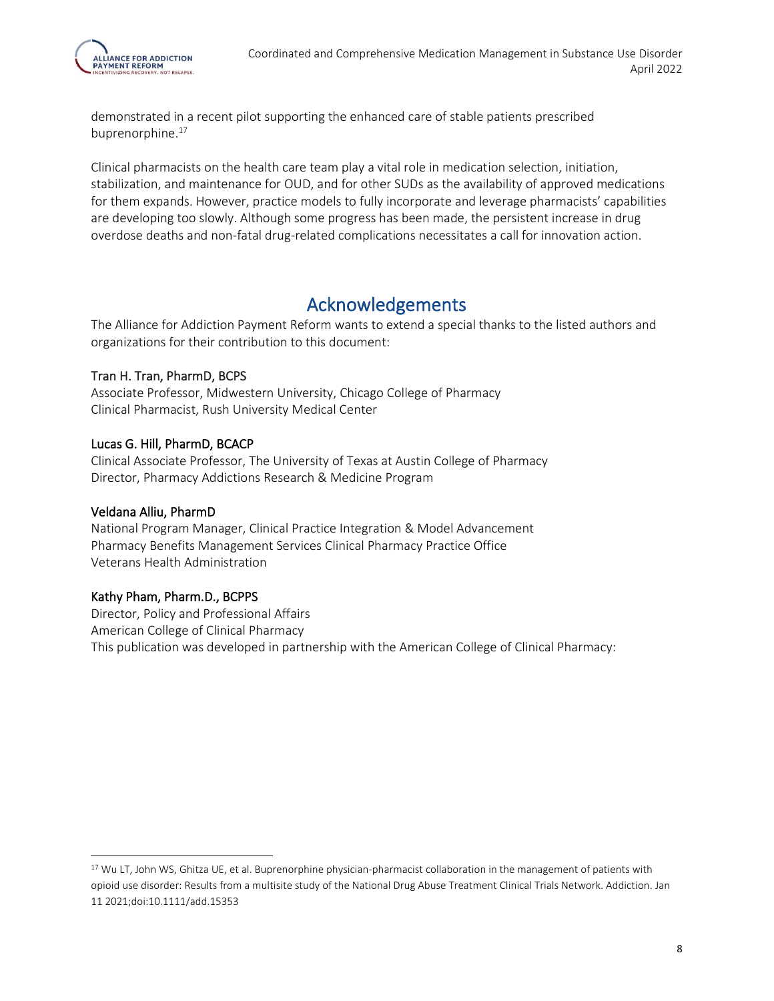demonstrated in a recent pilot supporting the enhanced care of stable patients prescribed buprenorphine.<sup>17</sup>

Clinical pharmacists on the health care team play a vital role in medication selection, initiation, stabilization, and maintenance for OUD, and for other SUDs as the availability of approved medications for them expands. However, practice models to fully incorporate and leverage pharmacists' capabilities are developing too slowly. Although some progress has been made, the persistent increase in drug overdose deaths and non-fatal drug-related complications necessitates a call for innovation action.

## Acknowledgements

The Alliance for Addiction Payment Reform wants to extend a special thanks to the listed authors and organizations for their contribution to this document:

#### Tran H. Tran, PharmD, BCPS

Associate Professor, Midwestern University, Chicago College of Pharmacy Clinical Pharmacist, Rush University Medical Center

#### Lucas G. Hill, PharmD, BCACP

Clinical Associate Professor, The University of Texas at Austin College of Pharmacy Director, Pharmacy Addictions Research & Medicine Program

#### Veldana Alliu, PharmD

National Program Manager, Clinical Practice Integration & Model Advancement Pharmacy Benefits Management Services Clinical Pharmacy Practice Office Veterans Health Administration

#### Kathy Pham, Pharm.D., BCPPS

Director, Policy and Professional Affairs American College of Clinical Pharmacy This publication was developed in partnership with the American College of Clinical Pharmacy:

<sup>&</sup>lt;sup>17</sup> Wu LT, John WS, Ghitza UE, et al. Buprenorphine physician-pharmacist collaboration in the management of patients with opioid use disorder: Results from a multisite study of the National Drug Abuse Treatment Clinical Trials Network. Addiction. Jan 11 2021;doi:10.1111/add.15353